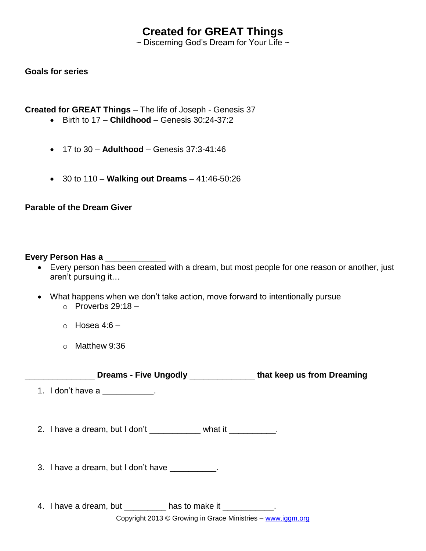# **Created for GREAT Things**

 $\sim$  Discerning God's Dream for Your Life  $\sim$ 

## **Goals for series**

**Created for GREAT Things** – The life of Joseph - Genesis 37

- Birth to 17 **Childhood** Genesis 30:24-37:2
- 17 to 30 **Adulthood** Genesis 37:3-41:46
- 30 to 110 **Walking out Dreams** 41:46-50:26

# **Parable of the Dream Giver**

#### **Every Person Has a** \_\_\_\_\_\_\_\_\_\_\_\_\_

- Every person has been created with a dream, but most people for one reason or another, just aren't pursuing it…
- What happens when we don't take action, move forward to intentionally pursue  $\circ$  Proverbs 29:18 –
	- $\circ$  Hosea 4:6 –
	- o Matthew 9:36

\_\_\_\_\_\_\_\_\_\_\_\_\_\_\_ **Dreams - Five Ungodly** \_\_\_\_\_\_\_\_\_\_\_\_\_\_ **that keep us from Dreaming**

1. I don't have a metal of the set of the set of the set of the set of the set of the set of the set of the set o

2. I have a dream, but I don't \_\_\_\_\_\_\_\_\_\_ what it \_\_\_\_\_\_\_\_\_.

3. I have a dream, but I don't have \_\_\_\_\_\_\_\_\_\_.

4. I have a dream, but has to make it  $\qquad \qquad$ .

Copyright 2013 © Growing in Grace Ministries – www.iggm.org